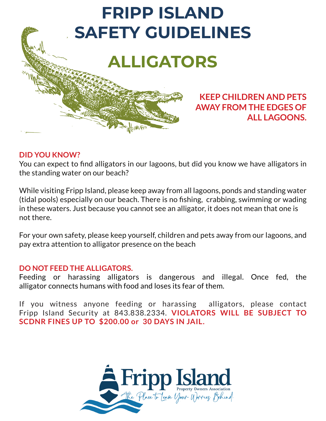

### **KEEP CHILDREN AND PETS AWAY FROM THE EDGES OF ALL LAGOONS.**

### **DID YOU KNOW?**

You can expect to find alligators in our lagoons, but did you know we have alligators in the standing water on our beach?

While visiting Fripp Island, please keep away from all lagoons, ponds and standing water (tidal pools) especially on our beach. There is no fishing, crabbing, swimming or wading in these waters. Just because you cannot see an alligator, it does not mean that one is not there.

For your own safety, please keep yourself, children and pets away from our lagoons, and pay extra attention to alligator presence on the beach

### **DO NOT FEED THE ALLIGATORS.**

Feeding or harassing alligators is dangerous and illegal. Once fed, the alligator connects humans with food and loses its fear of them.

If you witness anyone feeding or harassing alligators, please contact Fripp Island Security at 843.838.2334. **VIOLATORS WILL BE SUBJECT TO SCDNR FINES UP TO \$200.00 or 30 DAYS IN JAIL.**